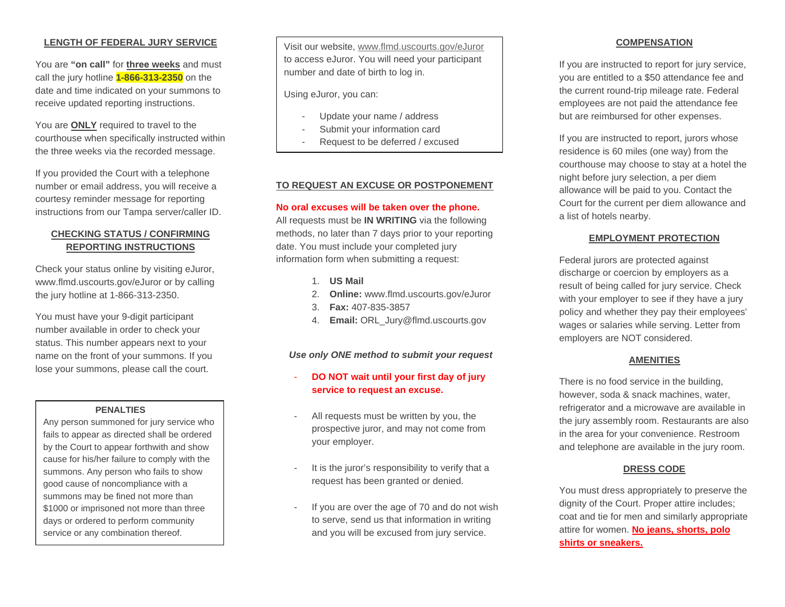## **LENGTH OF FEDERAL JURY SERVICE**

You are **"on call"** for **three weeks** and must call the jury hotline **1-866-313-2350** on the date and time indicated on your summons to receive updated reporting instructions.

You are **ONLY** required to travel to the courthouse when specifically instructed within the three weeks via the recorded message.

If you provided the Court with a telephone number or email address, you will receive a courtesy reminder message for reporting instructions from our Tampa server/caller ID.

# **CHECKING STATUS / CONFIRMING REPORTING INSTRUCTIONS**

Check your status online by visiting eJuror, www.flmd.uscourts.gov/eJuror or by calling the jury hotline at 1-866-313-2350.

You must have your 9-digit participant number available in order to check your status. This number appears next to your name on the front of your summons. If you lose your summons, please call the court.

#### **PENALTIES**

Any person summoned for jury service who fails to appear as directed shall be ordered by the Court to appear forthwith and show cause for his/her failure to comply with the summons. Any person who fails to show good cause of noncompliance with a summons may be fined not more than \$1000 or imprisoned not more than three days or ordered to perform community service or any combination thereof.

Visit our website, [www.flmd.uscourts.gov/eJuror](http://www.flmd.uscourts.gov/eJuror) to access eJuror. You will need your participant number and date of birth to log in.

Using eJuror, you can:

- Update your name / address
- Submit your information card
- Request to be deferred / excused

### **TO REQUEST AN EXCUSE OR POSTPONEMENT**

#### **No oral excuses will be taken over the phone.**

All requests must be **IN WRITING** via the following methods, no later than 7 days prior to your reporting date. You must include your completed jury information form when submitting a request:

- 1. **US Mail**
- 2. **Online:** www.flmd.uscourts.gov/eJuror
- 3. **Fax:** 407-835-3857
- 4. **Email:** ORL\_Jury@flmd.uscourts.gov

*Use only ONE method to submit your request*

## - **DO NOT wait until your first day of jury service to request an excuse.**

- All requests must be written by you, the prospective juror, and may not come from your employer.
- It is the juror's responsibility to verify that a request has been granted or denied.
- If you are over the age of 70 and do not wish to serve, send us that information in writing and you will be excused from jury service.

#### **COMPENSATION**

If you are instructed to report for jury service, you are entitled to a \$50 attendance fee and the current round-trip mileage rate. Federal employees are not paid the attendance fee but are reimbursed for other expenses.

If you are instructed to report, jurors whose residence is 60 miles (one way) from the courthouse may choose to stay at a hotel the night before jury selection, a per diem allowance will be paid to you. Contact the Court for the current per diem allowance and a list of hotels nearby.

#### **EMPLOYMENT PROTECTION**

Federal jurors are protected against discharge or coercion by employers as a result of being called for jury service. Check with your employer to see if they have a jury policy and whether they pay their employees' wages or salaries while serving. Letter from employers are NOT considered.

#### **AMENITIES**

There is no food service in the building, however, soda & snack machines, water, refrigerator and a microwave are available in the jury assembly room. Restaurants are also in the area for your convenience. Restroom and telephone are available in the jury room.

### **DRESS CODE**

You must dress appropriately to preserve the dignity of the Court. Proper attire includes; coat and tie for men and similarly appropriate attire for women. **No jeans, shorts, polo shirts or sneakers.**